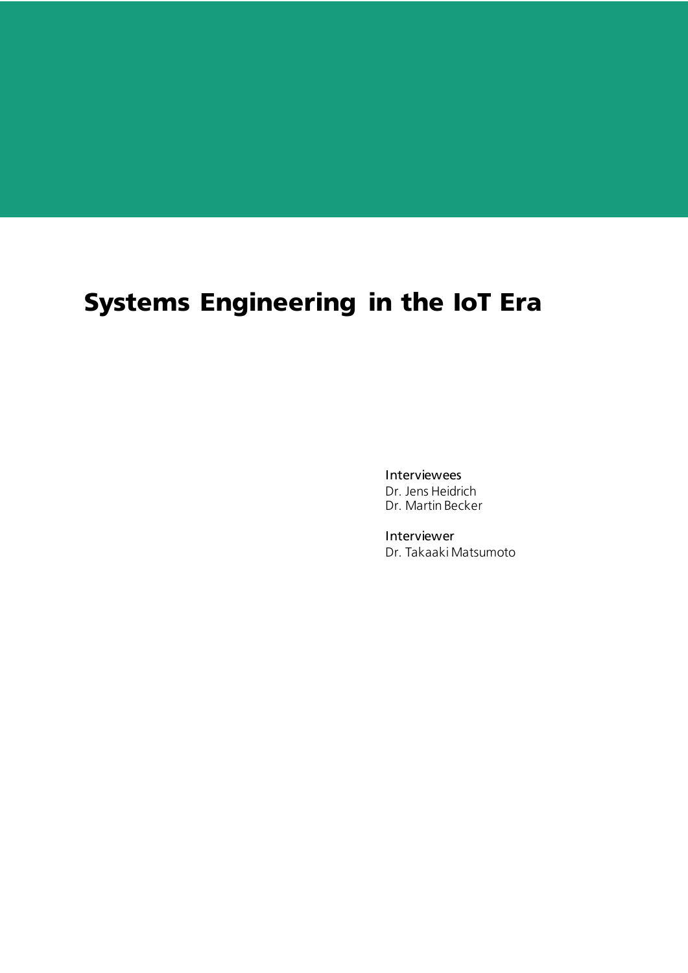# Systems Engineering in the IoT Era

Interviewees Dr. Jens Heidrich Dr. Martin Becker

Interviewer Dr. Takaaki Matsumoto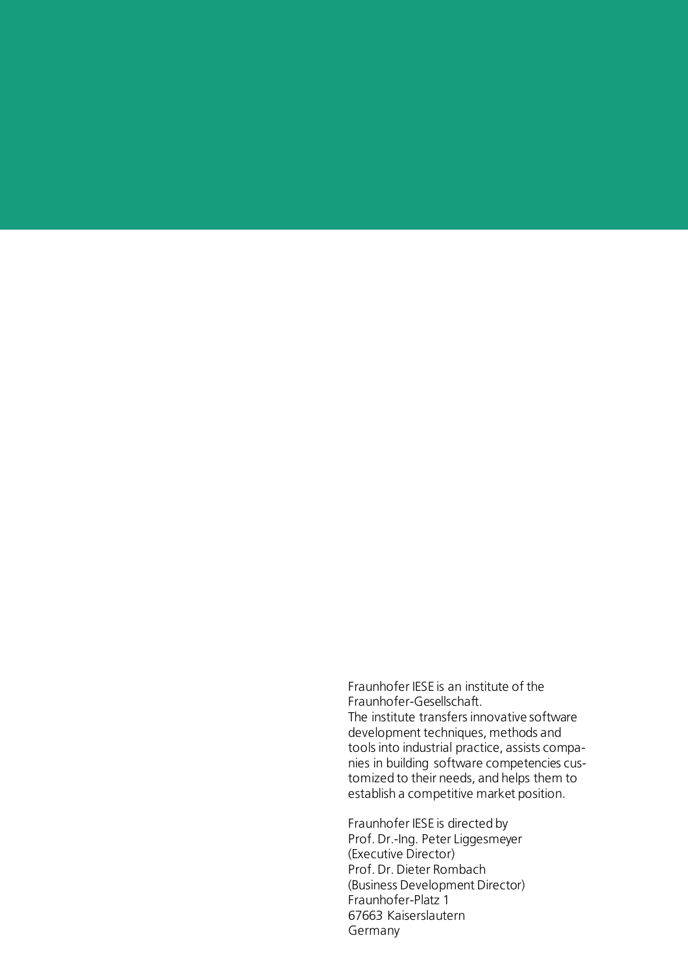Fraunhofer IESE is an institute of the Fraunhofer-Gesellschaft. The institute transfers innovative software development techniques, methods and tools into industrial practice, assists companies in building software competencies customized to their needs, and helps them to establish a competitive market position.

Fraunhofer IESE is directed by Prof. Dr.-Ing. Peter Liggesmeyer (Executive Director) Prof. Dr. Dieter Rombach (Business Development Director) Fraunhofer-Platz 1 67663 Kaiserslautern Germany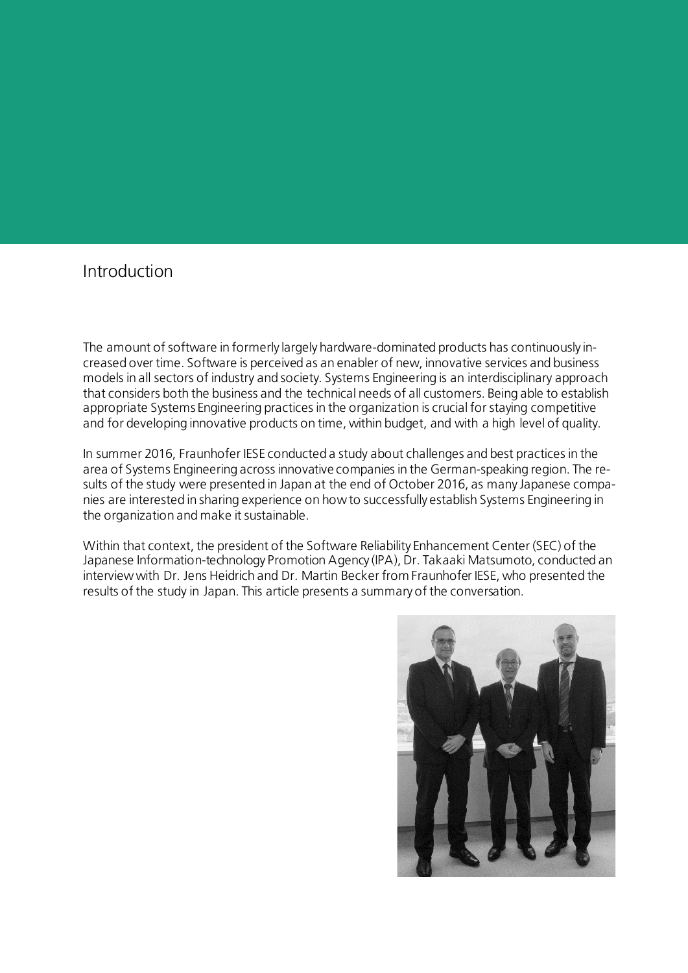## Introduction

The amount of software in formerly largely hardware-dominated products has continuously increased over time. Software is perceived as an enabler of new, innovative services and business models in all sectors of industry and society. Systems Engineering is an interdisciplinary approach that considers both the business and the technical needs of all customers. Being able to establish appropriate Systems Engineering practices in the organization is crucial for staying competitive and for developing innovative products on time, within budget, and with a high level of quality.

In summer 2016, Fraunhofer IESE conducted a study about challenges and best practices in the area of Systems Engineering across innovative companies in the German-speaking region. The results of the study were presented in Japan at the end of October 2016, as many Japanese companies are interested in sharing experience on how to successfully establish Systems Engineering in the organization and make it sustainable.

Within that context, the president of the Software Reliability Enhancement Center (SEC) of the Japanese Information-technology Promotion Agency (IPA), Dr. Takaaki Matsumoto, conducted an interview with Dr. Jens Heidrich and Dr. Martin Becker from Fraunhofer IESE, who presented the results of the study in Japan. This article presents a summary of the conversation.

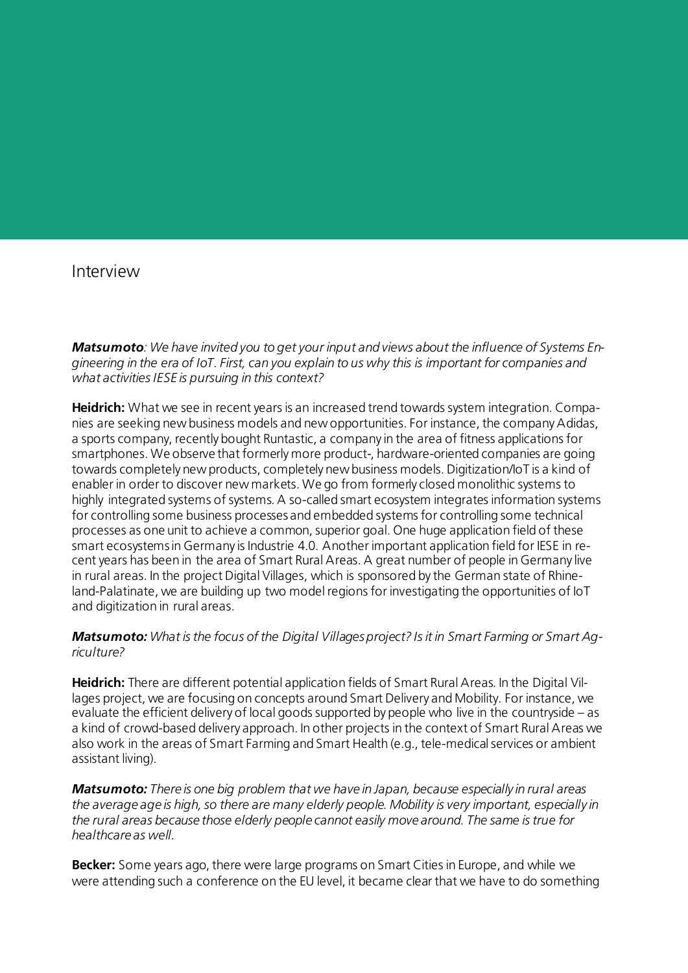### Interview

*Matsumoto: We have invited you to get your input and views about the influence of Systems Engineering in the era of IoT. First, can you explain to us why this is important for companies and what activities IESE is pursuing in this context?*

**Heidrich:** What we see in recent years is an increased trend towards system integration. Companies are seeking new business models and new opportunities. For instance, the company Adidas, a sports company, recently bought Runtastic, a company in the area of fitness applications for smartphones. We observe that formerly more product-, hardware-oriented companies are going towards completely new products, completely new business models. Digitization/IoT is a kind of enabler in order to discover new markets. We go from formerly closed monolithic systems to highly integrated systems of systems. A so-called smart ecosystem integrates information systems for controlling some business processes and embedded systems for controlling some technical processes as one unit to achieve a common, superior goal. One huge application field of these smart ecosystems in Germany is Industrie 4.0. Another important application field for IESE in recent years has been in the area of Smart Rural Areas. A great number of people in Germany live in rural areas. In the project Digital Villages, which is sponsored by the German state of Rhineland-Palatinate, we are building up two model regions for investigating the opportunities of IoT and digitization in rural areas.

#### *Matsumoto: What is the focus of the Digital Villages project? Is it in Smart Farming or Smart Agriculture?*

**Heidrich:** There are different potential application fields of Smart Rural Areas. In the Digital Villages project, we are focusing on concepts around Smart Delivery and Mobility. For instance, we evaluate the efficient delivery of local goods supported by people who live in the countryside – as a kind of crowd-based delivery approach. In other projects in the context of Smart Rural Areas we also work in the areas of Smart Farming and Smart Health (e.g., tele-medical services or ambient assistant living).

*Matsumoto: There is one big problem that we have in Japan, because especially in rural areas the average age is high, so there are many elderly people. Mobility is very important, especially in the rural areas because those elderly people cannot easily move around. The same is true for healthcare as well.*

**Becker:** Some years ago, there were large programs on Smart Cities in Europe, and while we were attending such a conference on the EU level, it became clear that we have to do something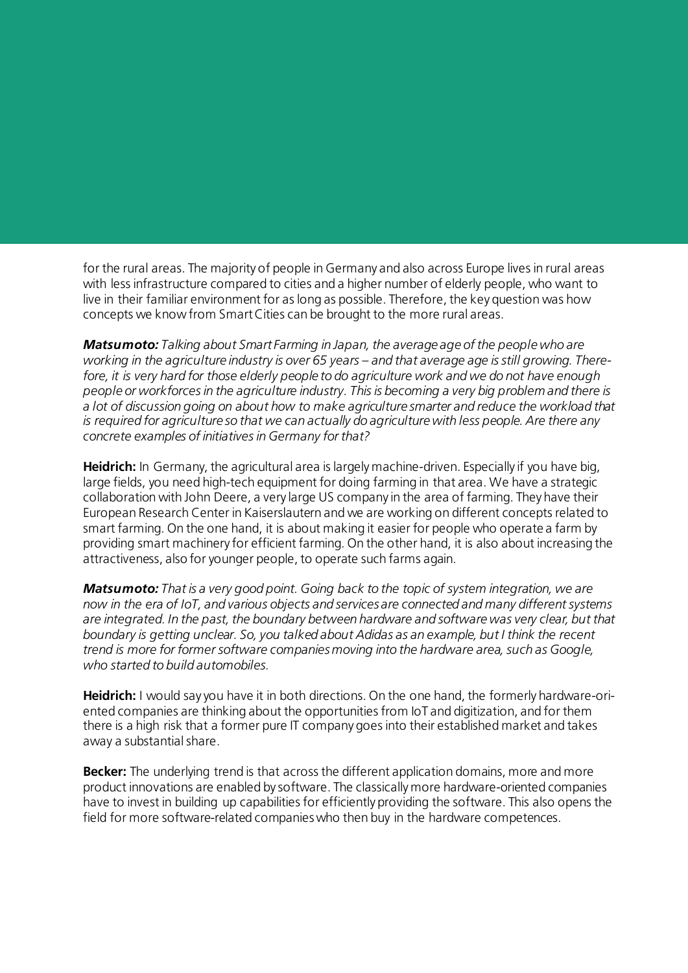for the rural areas. The majority of people in Germany and also across Europe lives in rural areas with less infrastructure compared to cities and a higher number of elderly people, who want to live in their familiar environment for as long as possible. Therefore, the key question was how concepts we know from Smart Cities can be brought to the more rural areas.

*Matsumoto: Talking about Smart Farming in Japan, the average age of the people who are working in the agriculture industry is over 65 years – and that average age is still growing. Therefore, it is very hard for those elderly people to do agriculture work and we do not have enough people or workforces in the agriculture industry. This is becoming a very big problem and there is a lot of discussion going on about how to make agriculture smarter and reduce the workload that is required for agriculture so that we can actually do agriculture with less people. Are there any concrete examples of initiatives in Germany for that?*

**Heidrich:** In Germany, the agricultural area is largely machine-driven. Especially if you have big, large fields, you need high-tech equipment for doing farming in that area. We have a strategic collaboration with John Deere, a very large US company in the area of farming. They have their European Research Center in Kaiserslautern and we are working on different concepts related to smart farming. On the one hand, it is about making it easier for people who operate a farm by providing smart machinery for efficient farming. On the other hand, it is also about increasing the attractiveness, also for younger people, to operate such farms again.

*Matsumoto: That is a very good point. Going back to the topic of system integration, we are now in the era of IoT, and various objects and services are connected and many different systems are integrated. In the past, the boundary between hardware and software was very clear, but that boundary is getting unclear. So, you talked about Adidas as an example, but I think the recent trend is more for former software companies moving into the hardware area, such as Google, who started to build automobiles.* 

**Heidrich:** I would say you have it in both directions. On the one hand, the formerly hardware-oriented companies are thinking about the opportunities from IoT and digitization, and for them there is a high risk that a former pure IT company goes into their established market and takes away a substantial share.

**Becker:** The underlying trend is that across the different application domains, more and more product innovations are enabled by software. The classically more hardware-oriented companies have to invest in building up capabilities for efficiently providing the software. This also opens the field for more software-related companies who then buy in the hardware competences.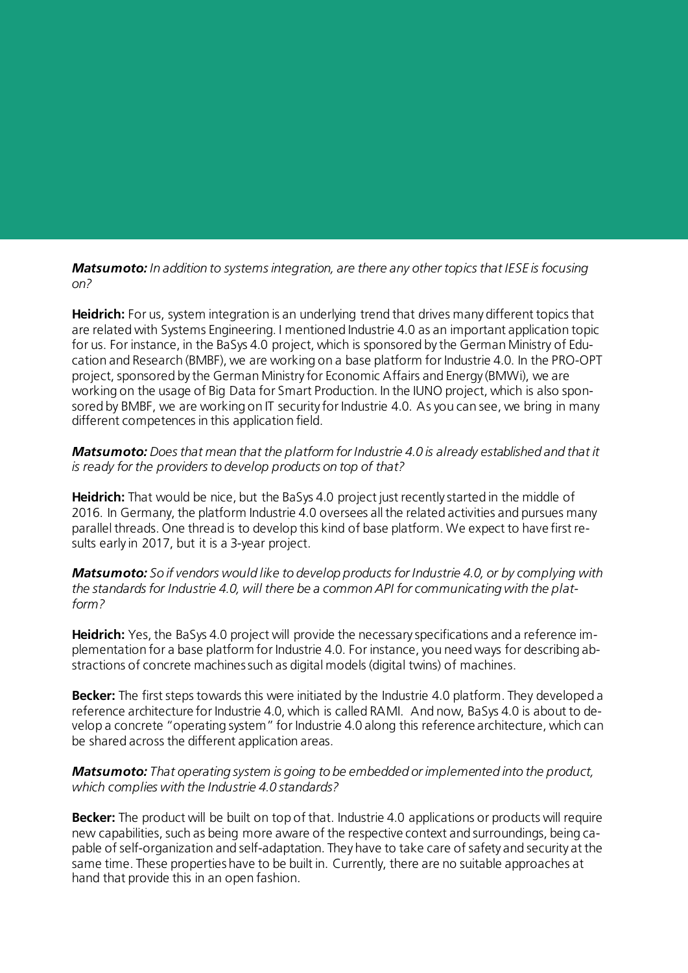*Matsumoto: In addition to systems integration, are there any other topics that IESE is focusing on?*

**Heidrich:** For us, system integration is an underlying trend that drives many different topics that are related with Systems Engineering. I mentioned Industrie 4.0 as an important application topic for us. For instance, in the BaSys 4.0 project, which is sponsored by the German Ministry of Education and Research (BMBF), we are working on a base platform for Industrie 4.0. In the PRO-OPT project, sponsored by the German Ministry for Economic Affairs and Energy (BMWi), we are working on the usage of Big Data for Smart Production. In the IUNO project, which is also sponsored by BMBF, we are working on IT security for Industrie 4.0. As you can see, we bring in many different competences in this application field.

#### *Matsumoto: Does that mean that the platform for Industrie 4.0 is already established and that it is ready for the providers to develop products on top of that?*

**Heidrich:** That would be nice, but the BaSys 4.0 project just recently started in the middle of 2016. In Germany, the platform Industrie 4.0 oversees all the related activities and pursues many parallel threads. One thread is to develop this kind of base platform. We expect to have first results early in 2017, but it is a 3-year project.

*Matsumoto: So if vendors would like to develop products for Industrie 4.0, or by complying with the standards for Industrie 4.0, will there be a common API for communicating with the platform?*

**Heidrich:** Yes, the BaSys 4.0 project will provide the necessary specifications and a reference implementation for a base platform for Industrie 4.0. For instance, you need ways for describing abstractions of concrete machines such as digital models (digital twins) of machines.

**Becker:** The first steps towards this were initiated by the Industrie 4.0 platform. They developed a reference architecture for Industrie 4.0, which is called RAMI. And now, BaSys 4.0 is about to develop a concrete "operating system" for Industrie 4.0 along this reference architecture, which can be shared across the different application areas.

#### *Matsumoto: That operating system is going to be embedded or implemented into the product, which complies with the Industrie 4.0 standards?*

**Becker:** The product will be built on top of that. Industrie 4.0 applications or products will require new capabilities, such as being more aware of the respective context and surroundings, being capable of self-organization and self-adaptation. They have to take care of safety and security at the same time. These properties have to be built in. Currently, there are no suitable approaches at hand that provide this in an open fashion.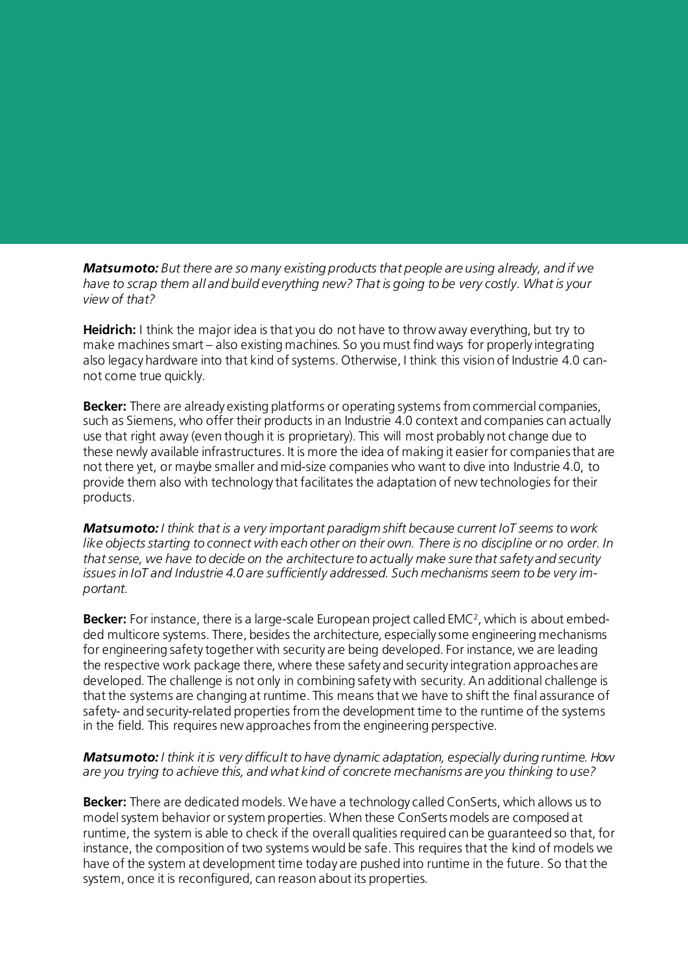*Matsumoto: But there are so many existing products that people are using already, and if we have to scrap them all and build everything new? That is going to be very costly. What is your view of that?*

**Heidrich:** I think the major idea is that you do not have to throw away everything, but try to make machines smart – also existing machines. So you must find ways for properly integrating also legacy hardware into that kind of systems. Otherwise, I think this vision of Industrie 4.0 cannot come true quickly.

**Becker:** There are already existing platforms or operating systems from commercial companies, such as Siemens, who offer their products in an Industrie 4.0 context and companies can actually use that right away (even though it is proprietary). This will most probably not change due to these newly available infrastructures. It is more the idea of making it easier for companies that are not there yet, or maybe smaller and mid-size companies who want to dive into Industrie 4.0, to provide them also with technology that facilitates the adaptation of new technologies for their products.

*Matsumoto: I think that is a very important paradigm shift because current IoT seems to work like objects starting to connect with each other on their own. There is no discipline or no order. In that sense, we have to decide on the architecture to actually make sure that safety and security issues in IoT and Industrie 4.0 are sufficiently addressed. Such mechanisms seem to be very important.*

**Becker:** For instance, there is a large-scale European project called EMC2, which is about embedded multicore systems. There, besides the architecture, especially some engineering mechanisms for engineering safety together with security are being developed. For instance, we are leading the respective work package there, where these safety and security integration approaches are developed. The challenge is not only in combining safety with security. An additional challenge is that the systems are changing at runtime. This means that we have to shift the final assurance of safety- and security-related properties from the development time to the runtime of the systems in the field. This requires new approaches from the engineering perspective.

#### *Matsumoto: I think it is very difficult to have dynamic adaptation, especially during runtime. How are you trying to achieve this, and what kind of concrete mechanisms are you thinking to use?*

**Becker:** There are dedicated models. We have a technology called ConSerts, which allows us to model system behavior or system properties. When these ConSerts models are composed at runtime, the system is able to check if the overall qualities required can be guaranteed so that, for instance, the composition of two systems would be safe. This requires that the kind of models we have of the system at development time today are pushed into runtime in the future. So that the system, once it is reconfigured, can reason about its properties.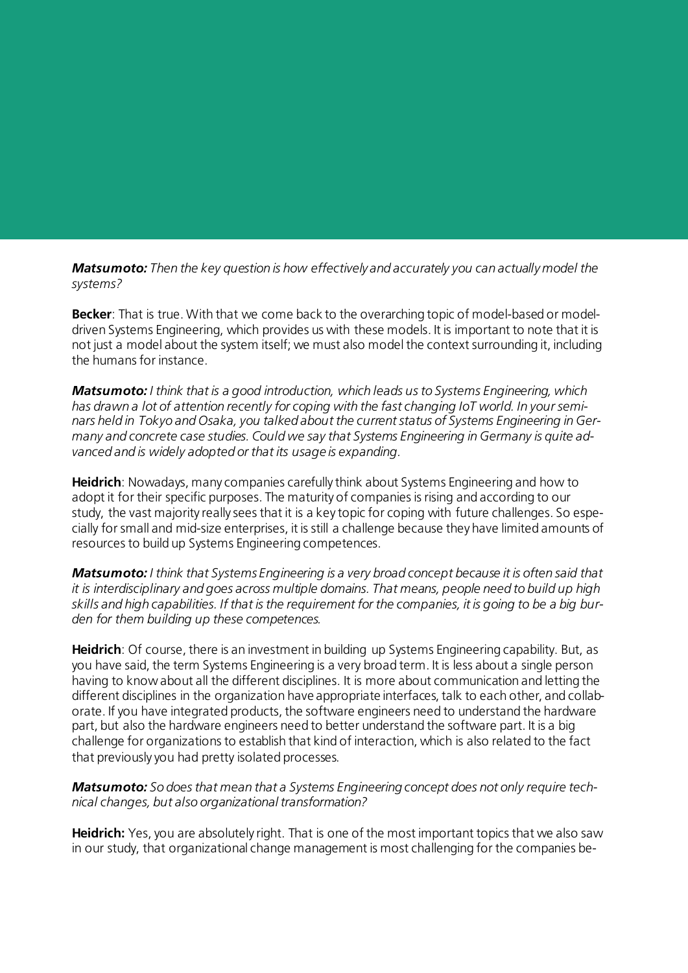*Matsumoto: Then the key question is how effectively and accurately you can actually model the systems?* 

**Becker**: That is true. With that we come back to the overarching topic of model-based or modeldriven Systems Engineering, which provides us with these models. It is important to note that it is not just a model about the system itself; we must also model the context surrounding it, including the humans for instance.

*Matsumoto: I think that is a good introduction, which leads us to Systems Engineering, which has drawn a lot of attention recently for coping with the fast changing IoT world. In your seminars held in Tokyo and Osaka, you talked about the current status of Systems Engineering in Germany and concrete case studies. Could we say that Systems Engineering in Germany is quite advanced and is widely adopted or that its usage is expanding.*

**Heidrich**: Nowadays, many companies carefully think about Systems Engineering and how to adopt it for their specific purposes. The maturity of companies is rising and according to our study, the vast majority really sees that it is a key topic for coping with future challenges. So especially for small and mid-size enterprises, it is still a challenge because they have limited amounts of resources to build up Systems Engineering competences.

*Matsumoto: I think that Systems Engineering is a very broad concept because it is often said that it is interdisciplinary and goes across multiple domains. That means, people need to build up high skills and high capabilities. If that is the requirement for the companies, it is going to be a big burden for them building up these competences.*

**Heidrich**: Of course, there is an investment in building up Systems Engineering capability. But, as you have said, the term Systems Engineering is a very broad term. It is less about a single person having to know about all the different disciplines. It is more about communication and letting the different disciplines in the organization have appropriate interfaces, talk to each other, and collaborate. If you have integrated products, the software engineers need to understand the hardware part, but also the hardware engineers need to better understand the software part. It is a big challenge for organizations to establish that kind of interaction, which is also related to the fact that previously you had pretty isolated processes.

*Matsumoto: So does that mean that a Systems Engineering concept does not only require technical changes, but also organizational transformation?*

**Heidrich:** Yes, you are absolutely right. That is one of the most important topics that we also saw in our study, that organizational change management is most challenging for the companies be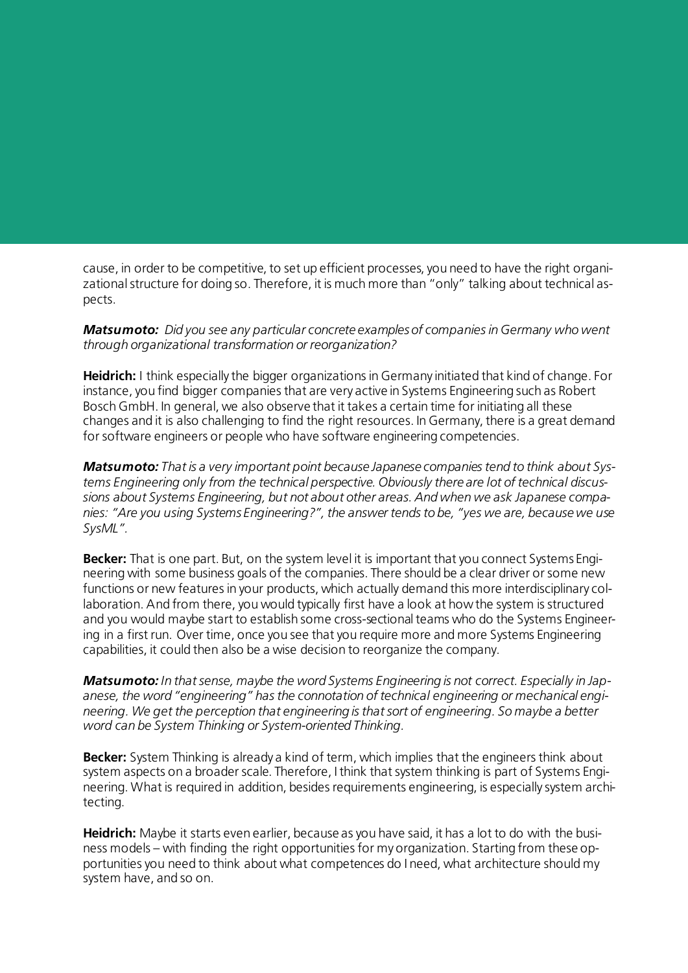cause, in order to be competitive, to set up efficient processes, you need to have the right organizational structure for doing so. Therefore, it is much more than "only" talking about technical aspects.

*Matsumoto: Did you see any particular concrete examples of companies in Germany who went through organizational transformation or reorganization?*

**Heidrich:** I think especially the bigger organizations in Germany initiated that kind of change. For instance, you find bigger companies that are very active in Systems Engineering such as Robert Bosch GmbH. In general, we also observe that it takes a certain time for initiating all these changes and it is also challenging to find the right resources. In Germany, there is a great demand for software engineers or people who have software engineering competencies.

*Matsumoto: That is a very important point because Japanese companies tend to think about Systems Engineering only from the technical perspective. Obviously there are lot of technical discussions about Systems Engineering, but not about other areas. And when we ask Japanese companies: "Are you using Systems Engineering?", the answer tends to be, "yes we are, because we use SysML".*

**Becker:** That is one part. But, on the system level it is important that you connect Systems Engineering with some business goals of the companies. There should be a clear driver or some new functions or new features in your products, which actually demand this more interdisciplinary collaboration. And from there, you would typically first have a look at how the system is structured and you would maybe start to establish some cross-sectional teams who do the Systems Engineering in a first run. Over time, once you see that you require more and more Systems Engineering capabilities, it could then also be a wise decision to reorganize the company.

*Matsumoto: In that sense, maybe the word Systems Engineering is not correct. Especially in Japanese, the word "engineering" has the connotation of technical engineering or mechanical engineering. We get the perception that engineering is that sort of engineering. So maybe a better word can be System Thinking or System-oriented Thinking.* 

**Becker:** System Thinking is already a kind of term, which implies that the engineers think about system aspects on a broader scale. Therefore, I think that system thinking is part of Systems Engineering. What is required in addition, besides requirements engineering, is especially system architecting.

**Heidrich:** Maybe it starts even earlier, because as you have said, it has a lot to do with the business models – with finding the right opportunities for my organization. Starting from these opportunities you need to think about what competences do I need, what architecture should my system have, and so on.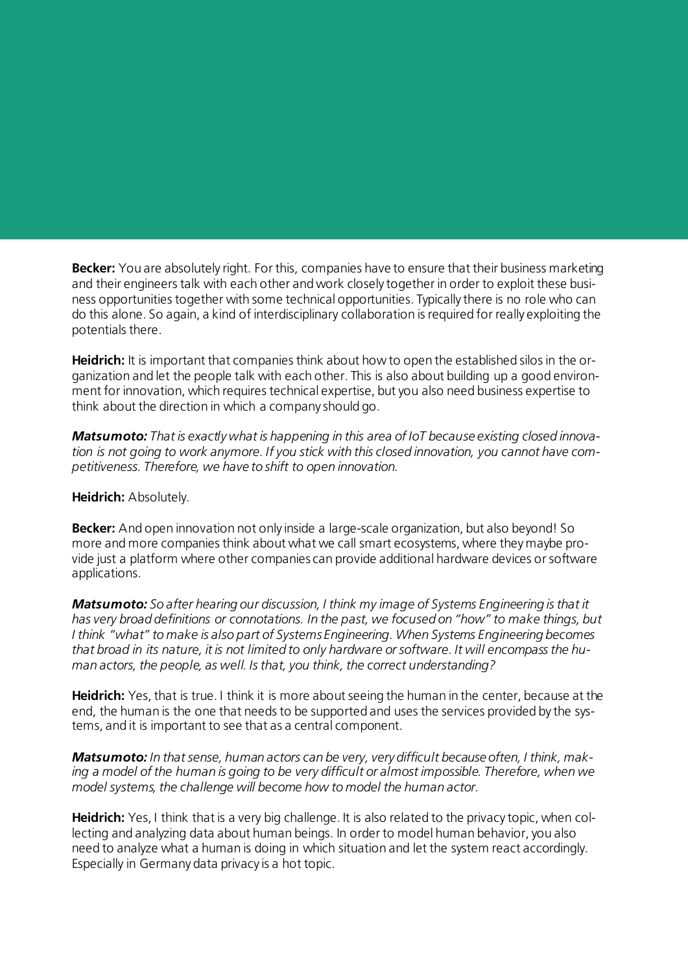**Becker:** You are absolutely right. For this, companies have to ensure that their business marketing and their engineers talk with each other and work closely together in order to exploit these business opportunities together with some technical opportunities. Typically there is no role who can do this alone. So again, a kind of interdisciplinary collaboration is required for really exploiting the potentials there.

**Heidrich:** It is important that companies think about how to open the established silos in the organization and let the people talk with each other. This is also about building up a good environment for innovation, which requires technical expertise, but you also need business expertise to think about the direction in which a company should go.

*Matsumoto: That is exactly what is happening in this area of IoT because existing closed innovation is not going to work anymore. If you stick with this closed innovation, you cannot have competitiveness. Therefore, we have to shift to open innovation.* 

#### **Heidrich:** Absolutely.

**Becker:** And open innovation not only inside a large-scale organization, but also beyond! So more and more companies think about what we call smart ecosystems, where they maybe provide just a platform where other companies can provide additional hardware devices or software applications.

*Matsumoto: So after hearing our discussion, I think my image of Systems Engineering is that it has very broad definitions or connotations. In the past, we focused on "how" to make things, but I think "what" to make is also part of Systems Engineering. When Systems Engineering becomes that broad in its nature, it is not limited to only hardware or software. It will encompass the human actors, the people, as well. Is that, you think, the correct understanding?*

**Heidrich:** Yes, that is true. I think it is more about seeing the human in the center, because at the end, the human is the one that needs to be supported and uses the services provided by the systems, and it is important to see that as a central component.

*Matsumoto: In that sense, human actors can be very, very difficult because often, I think, making a model of the human is going to be very difficult or almost impossible. Therefore, when we model systems, the challenge will become how to model the human actor.*

**Heidrich:** Yes, I think that is a very big challenge. It is also related to the privacy topic, when collecting and analyzing data about human beings. In order to model human behavior, you also need to analyze what a human is doing in which situation and let the system react accordingly. Especially in Germany data privacy is a hot topic.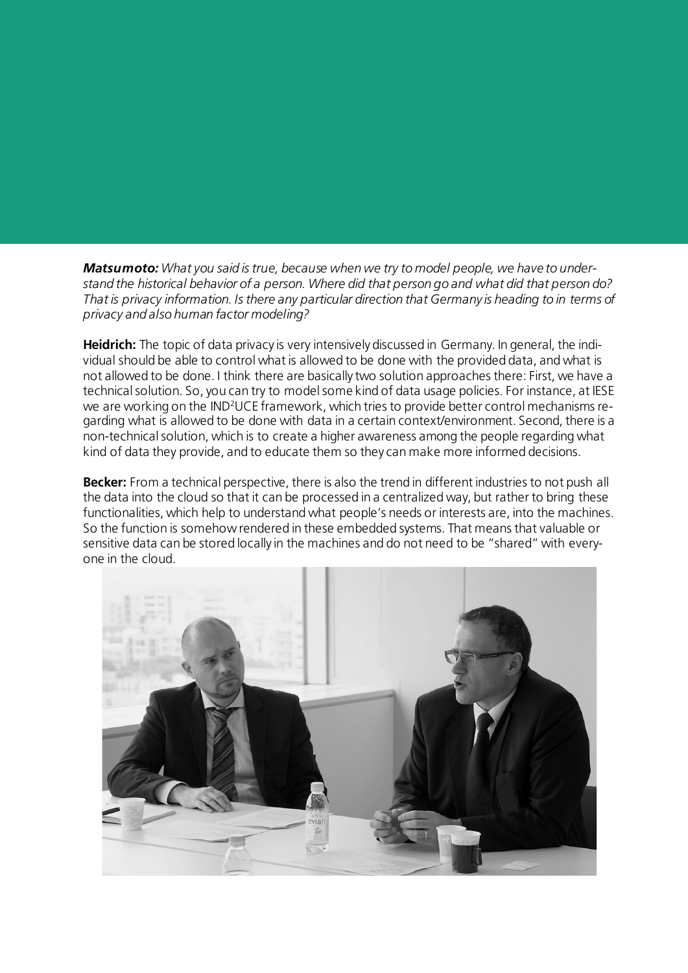*Matsumoto: What you said is true, because when we try to model people, we have to understand the historical behavior of a person. Where did that person go and what did that person do? That is privacy information. Is there any particular direction that Germany is heading to in terms of privacy and also human factor modeling?*

**Heidrich:** The topic of data privacy is very intensively discussed in Germany. In general, the individual should be able to control what is allowed to be done with the provided data, and what is not allowed to be done. I think there are basically two solution approaches there: First, we have a technical solution. So, you can try to model some kind of data usage policies. For instance, at IESE we are working on the IND2UCE framework, which tries to provide better control mechanisms regarding what is allowed to be done with data in a certain context/environment. Second, there is a non-technical solution, which is to create a higher awareness among the people regarding what kind of data they provide, and to educate them so they can make more informed decisions.

**Becker:** From a technical perspective, there is also the trend in different industries to not push all the data into the cloud so that it can be processed in a centralized way, but rather to bring these functionalities, which help to understand what people's needs or interests are, into the machines. So the function is somehow rendered in these embedded systems. That means that valuable or sensitive data can be stored locally in the machines and do not need to be "shared" with everyone in the cloud.

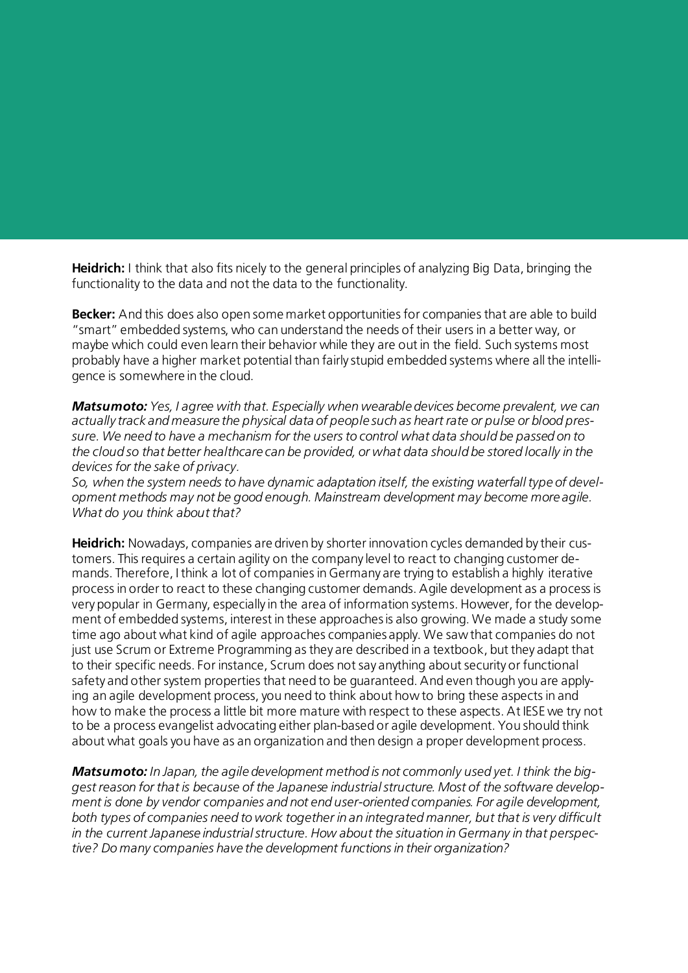**Heidrich:** I think that also fits nicely to the general principles of analyzing Big Data, bringing the functionality to the data and not the data to the functionality.

**Becker:** And this does also open some market opportunities for companies that are able to build "smart" embedded systems, who can understand the needs of their users in a better way, or maybe which could even learn their behavior while they are out in the field. Such systems most probably have a higher market potential than fairly stupid embedded systems where all the intelligence is somewhere in the cloud.

*Matsumoto: Yes, I agree with that. Especially when wearable devices become prevalent, we can actually track and measure the physical data of people such as heart rate or pulse or blood pressure. We need to have a mechanism for the users to control what data should be passed on to the cloud so that better healthcare can be provided, or what data should be stored locally in the devices for the sake of privacy.*

*So, when the system needs to have dynamic adaptation itself, the existing waterfall type of development methods may not be good enough. Mainstream development may become more agile. What do you think about that?*

**Heidrich:** Nowadays, companies are driven by shorter innovation cycles demanded by their customers. This requires a certain agility on the company level to react to changing customer demands. Therefore, I think a lot of companies in Germany are trying to establish a highly iterative process in order to react to these changing customer demands. Agile development as a process is very popular in Germany, especially in the area of information systems. However, for the development of embedded systems, interest in these approaches is also growing. We made a study some time ago about what kind of agile approaches companies apply. We saw that companies do not just use Scrum or Extreme Programming as they are described in a textbook, but they adapt that to their specific needs. For instance, Scrum does not say anything about security or functional safety and other system properties that need to be guaranteed. And even though you are applying an agile development process, you need to think about how to bring these aspects in and how to make the process a little bit more mature with respect to these aspects. At IESE we try not to be a process evangelist advocating either plan-based or agile development. You should think about what goals you have as an organization and then design a proper development process.

*Matsumoto: In Japan, the agile development method is not commonly used yet. I think the biggest reason for that is because of the Japanese industrial structure. Most of the software development is done by vendor companies and not end user-oriented companies. For agile development, both types of companies need to work together in an integrated manner, but that is very difficult in the current Japanese industrial structure. How about the situation in Germany in that perspective? Do many companies have the development functions in their organization?*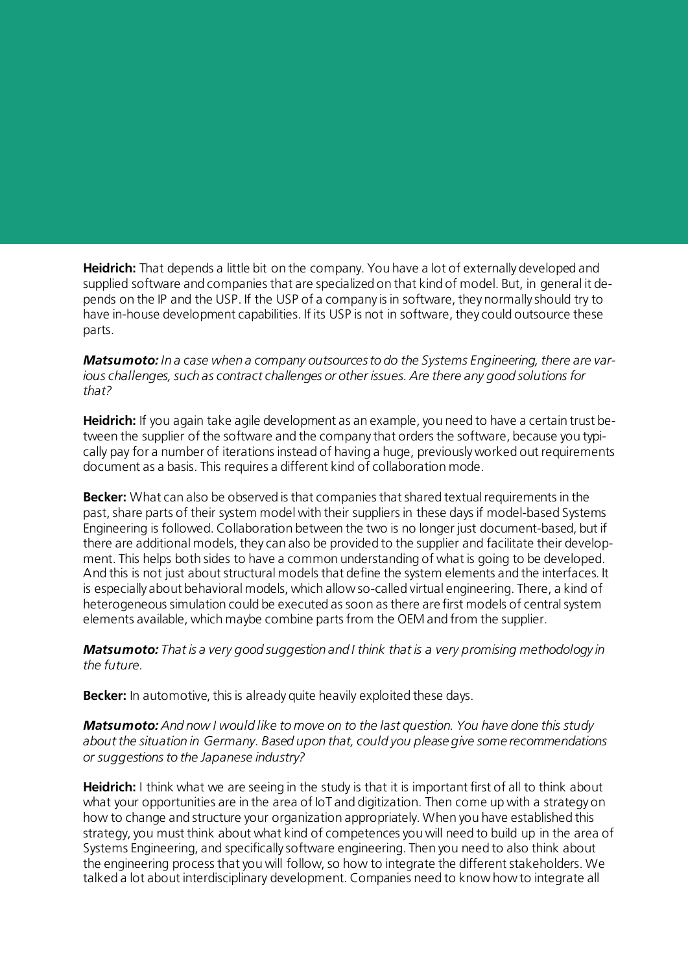**Heidrich:** That depends a little bit on the company. You have a lot of externally developed and supplied software and companies that are specialized on that kind of model. But, in general it depends on the IP and the USP. If the USP of a company is in software, they normally should try to have in-house development capabilities. If its USP is not in software, they could outsource these parts.

*Matsumoto: In a case when a company outsources to do the Systems Engineering, there are various challenges, such as contract challenges or other issues. Are there any good solutions for that?*

**Heidrich:** If you again take agile development as an example, you need to have a certain trust between the supplier of the software and the company that orders the software, because you typically pay for a number of iterations instead of having a huge, previously worked out requirements document as a basis. This requires a different kind of collaboration mode.

**Becker:** What can also be observed is that companies that shared textual requirements in the past, share parts of their system model with their suppliers in these days if model-based Systems Engineering is followed. Collaboration between the two is no longer just document-based, but if there are additional models, they can also be provided to the supplier and facilitate their development. This helps both sides to have a common understanding of what is going to be developed. And this is not just about structural models that define the system elements and the interfaces. It is especially about behavioral models, which allow so-called virtual engineering. There, a kind of heterogeneous simulation could be executed as soon as there are first models of central system elements available, which maybe combine parts from the OEM and from the supplier.

*Matsumoto: That is a very good suggestion and I think that is a very promising methodology in the future.*

**Becker:** In automotive, this is already quite heavily exploited these days.

*Matsumoto: And now I would like to move on to the last question. You have done this study about the situation in Germany. Based upon that, could you please give some recommendations or suggestions to the Japanese industry?*

**Heidrich:** I think what we are seeing in the study is that it is important first of all to think about what your opportunities are in the area of IoT and digitization. Then come up with a strategy on how to change and structure your organization appropriately. When you have established this strategy, you must think about what kind of competences you will need to build up in the area of Systems Engineering, and specifically software engineering. Then you need to also think about the engineering process that you will follow, so how to integrate the different stakeholders. We talked a lot about interdisciplinary development. Companies need to know how to integrate all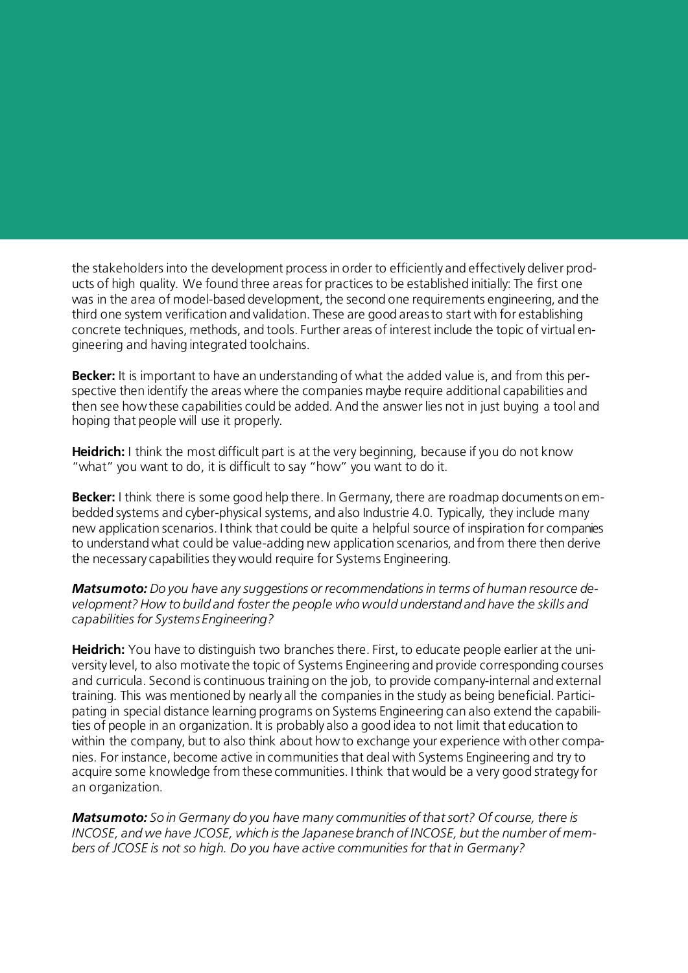the stakeholders into the development process in order to efficiently and effectively deliver products of high quality. We found three areas for practices to be established initially: The first one was in the area of model-based development, the second one requirements engineering, and the third one system verification and validation. These are good areas to start with for establishing concrete techniques, methods, and tools. Further areas of interest include the topic of virtual engineering and having integrated toolchains.

**Becker:** It is important to have an understanding of what the added value is, and from this perspective then identify the areas where the companies maybe require additional capabilities and then see how these capabilities could be added. And the answer lies not in just buying a tool and hoping that people will use it properly.

**Heidrich:** I think the most difficult part is at the very beginning, because if you do not know "what" you want to do, it is difficult to say "how" you want to do it.

**Becker:** I think there is some good help there. In Germany, there are roadmap documents on embedded systems and cyber-physical systems, and also Industrie 4.0. Typically, they include many new application scenarios. I think that could be quite a helpful source of inspiration for companies to understand what could be value-adding new application scenarios, and from there then derive the necessary capabilities they would require for Systems Engineering.

*Matsumoto: Do you have any suggestions or recommendations in terms of human resource development? How to build and foster the people who would understand and have the skills and capabilities for Systems Engineering?*

**Heidrich:** You have to distinguish two branches there. First, to educate people earlier at the university level, to also motivate the topic of Systems Engineering and provide corresponding courses and curricula. Second is continuous training on the job, to provide company-internal and external training. This was mentioned by nearly all the companies in the study as being beneficial. Participating in special distance learning programs on Systems Engineering can also extend the capabilities of people in an organization. It is probably also a good idea to not limit that education to within the company, but to also think about how to exchange your experience with other companies. For instance, become active in communities that deal with Systems Engineering and try to acquire some knowledge from these communities. I think that would be a very good strategy for an organization.

*Matsumoto: So in Germany do you have many communities of that sort? Of course, there is INCOSE, and we have JCOSE, which is the Japanese branch of INCOSE, but the number of members of JCOSE is not so high. Do you have active communities for that in Germany?*